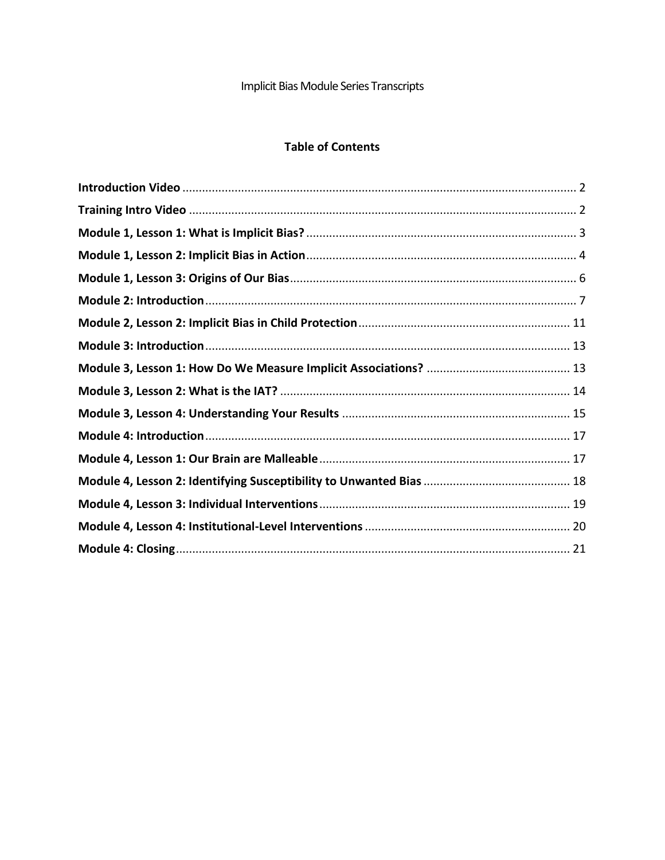# Implicit Bias Module Series Transcripts

## **Table of Contents**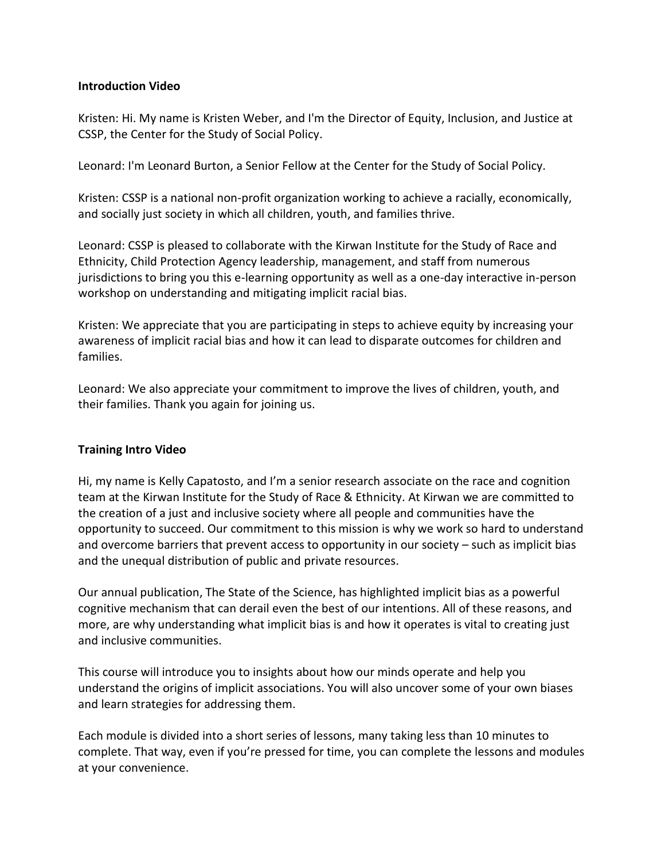### <span id="page-1-0"></span>**Introduction Video**

Kristen: Hi. My name is Kristen Weber, and I'm the Director of Equity, Inclusion, and Justice at CSSP, the Center for the Study of Social Policy.

Leonard: I'm Leonard Burton, a Senior Fellow at the Center for the Study of Social Policy.

Kristen: CSSP is a national non-profit organization working to achieve a racially, economically, and socially just society in which all children, youth, and families thrive.

Leonard: CSSP is pleased to collaborate with the Kirwan Institute for the Study of Race and Ethnicity, Child Protection Agency leadership, management, and staff from numerous jurisdictions to bring you this e-learning opportunity as well as a one-day interactive in-person workshop on understanding and mitigating implicit racial bias.

Kristen: We appreciate that you are participating in steps to achieve equity by increasing your awareness of implicit racial bias and how it can lead to disparate outcomes for children and families.

Leonard: We also appreciate your commitment to improve the lives of children, youth, and their families. Thank you again for joining us.

### <span id="page-1-1"></span>**Training Intro Video**

Hi, my name is Kelly Capatosto, and I'm a senior research associate on the race and cognition team at the Kirwan Institute for the Study of Race & Ethnicity. At Kirwan we are committed to the creation of a just and inclusive society where all people and communities have the opportunity to succeed. Our commitment to this mission is why we work so hard to understand and overcome barriers that prevent access to opportunity in our society – such as implicit bias and the unequal distribution of public and private resources.

Our annual publication, The State of the Science, has highlighted implicit bias as a powerful cognitive mechanism that can derail even the best of our intentions. All of these reasons, and more, are why understanding what implicit bias is and how it operates is vital to creating just and inclusive communities.

This course will introduce you to insights about how our minds operate and help you understand the origins of implicit associations. You will also uncover some of your own biases and learn strategies for addressing them.

Each module is divided into a short series of lessons, many taking less than 10 minutes to complete. That way, even if you're pressed for time, you can complete the lessons and modules at your convenience.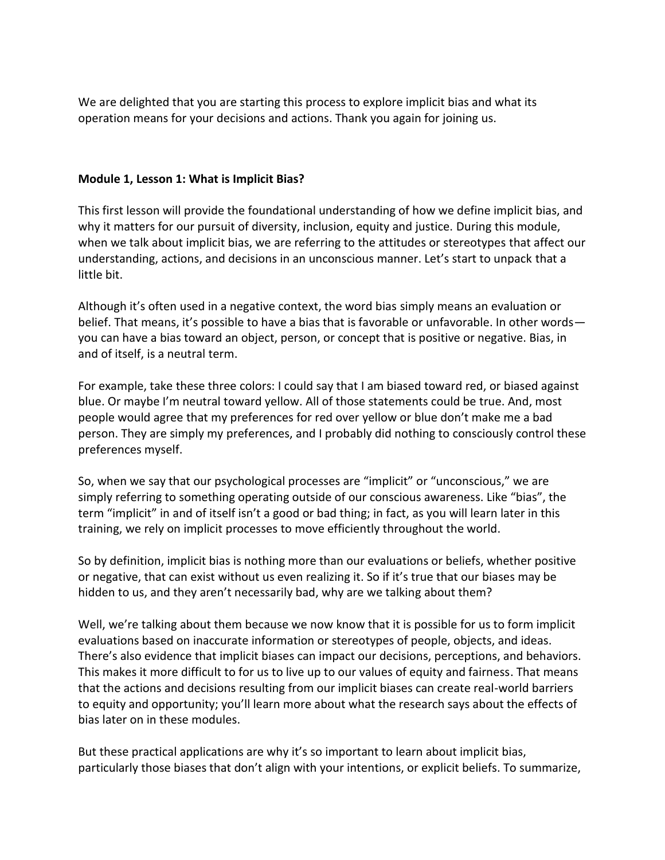We are delighted that you are starting this process to explore implicit bias and what its operation means for your decisions and actions. Thank you again for joining us.

### <span id="page-2-0"></span>**Module 1, Lesson 1: What is Implicit Bias?**

This first lesson will provide the foundational understanding of how we define implicit bias, and why it matters for our pursuit of diversity, inclusion, equity and justice. During this module, when we talk about implicit bias, we are referring to the attitudes or stereotypes that affect our understanding, actions, and decisions in an unconscious manner. Let's start to unpack that a little bit.

Although it's often used in a negative context, the word bias simply means an evaluation or belief. That means, it's possible to have a bias that is favorable or unfavorable. In other words you can have a bias toward an object, person, or concept that is positive or negative. Bias, in and of itself, is a neutral term.

For example, take these three colors: I could say that I am biased toward red, or biased against blue. Or maybe I'm neutral toward yellow. All of those statements could be true. And, most people would agree that my preferences for red over yellow or blue don't make me a bad person. They are simply my preferences, and I probably did nothing to consciously control these preferences myself.

So, when we say that our psychological processes are "implicit" or "unconscious," we are simply referring to something operating outside of our conscious awareness. Like "bias", the term "implicit" in and of itself isn't a good or bad thing; in fact, as you will learn later in this training, we rely on implicit processes to move efficiently throughout the world.

So by definition, implicit bias is nothing more than our evaluations or beliefs, whether positive or negative, that can exist without us even realizing it. So if it's true that our biases may be hidden to us, and they aren't necessarily bad, why are we talking about them?

Well, we're talking about them because we now know that it is possible for us to form implicit evaluations based on inaccurate information or stereotypes of people, objects, and ideas. There's also evidence that implicit biases can impact our decisions, perceptions, and behaviors. This makes it more difficult to for us to live up to our values of equity and fairness. That means that the actions and decisions resulting from our implicit biases can create real-world barriers to equity and opportunity; you'll learn more about what the research says about the effects of bias later on in these modules.

But these practical applications are why it's so important to learn about implicit bias, particularly those biases that don't align with your intentions, or explicit beliefs. To summarize,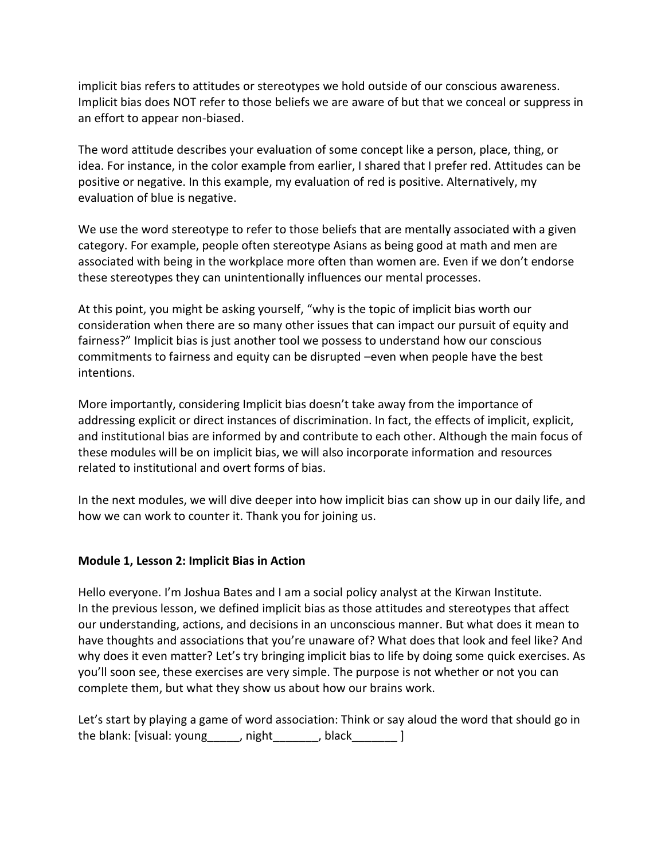implicit bias refers to attitudes or stereotypes we hold outside of our conscious awareness. Implicit bias does NOT refer to those beliefs we are aware of but that we conceal or suppress in an effort to appear non-biased.

The word attitude describes your evaluation of some concept like a person, place, thing, or idea. For instance, in the color example from earlier, I shared that I prefer red. Attitudes can be positive or negative. In this example, my evaluation of red is positive. Alternatively, my evaluation of blue is negative.

We use the word stereotype to refer to those beliefs that are mentally associated with a given category. For example, people often stereotype Asians as being good at math and men are associated with being in the workplace more often than women are. Even if we don't endorse these stereotypes they can unintentionally influences our mental processes.

At this point, you might be asking yourself, "why is the topic of implicit bias worth our consideration when there are so many other issues that can impact our pursuit of equity and fairness?" Implicit bias is just another tool we possess to understand how our conscious commitments to fairness and equity can be disrupted –even when people have the best intentions.

More importantly, considering Implicit bias doesn't take away from the importance of addressing explicit or direct instances of discrimination. In fact, the effects of implicit, explicit, and institutional bias are informed by and contribute to each other. Although the main focus of these modules will be on implicit bias, we will also incorporate information and resources related to institutional and overt forms of bias.

In the next modules, we will dive deeper into how implicit bias can show up in our daily life, and how we can work to counter it. Thank you for joining us.

## <span id="page-3-0"></span>**Module 1, Lesson 2: Implicit Bias in Action**

Hello everyone. I'm Joshua Bates and I am a social policy analyst at the Kirwan Institute. In the previous lesson, we defined implicit bias as those attitudes and stereotypes that affect our understanding, actions, and decisions in an unconscious manner. But what does it mean to have thoughts and associations that you're unaware of? What does that look and feel like? And why does it even matter? Let's try bringing implicit bias to life by doing some quick exercises. As you'll soon see, these exercises are very simple. The purpose is not whether or not you can complete them, but what they show us about how our brains work.

Let's start by playing a game of word association: Think or say aloud the word that should go in the blank: [visual: young \_\_\_\_\_, night \_\_\_\_\_\_\_, black \_\_\_\_\_\_\_ ]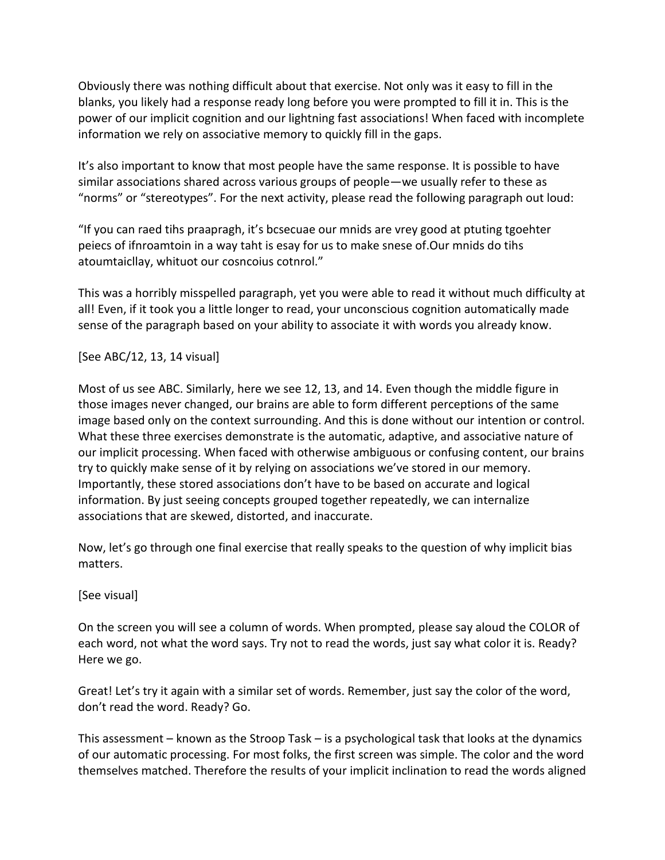Obviously there was nothing difficult about that exercise. Not only was it easy to fill in the blanks, you likely had a response ready long before you were prompted to fill it in. This is the power of our implicit cognition and our lightning fast associations! When faced with incomplete information we rely on associative memory to quickly fill in the gaps.

It's also important to know that most people have the same response. It is possible to have similar associations shared across various groups of people—we usually refer to these as "norms" or "stereotypes". For the next activity, please read the following paragraph out loud:

"If you can raed tihs praapragh, it's bcsecuae our mnids are vrey good at ptuting tgoehter peiecs of ifnroamtoin in a way taht is esay for us to make snese of.Our mnids do tihs atoumtaicllay, whituot our cosncoius cotnrol."

This was a horribly misspelled paragraph, yet you were able to read it without much difficulty at all! Even, if it took you a little longer to read, your unconscious cognition automatically made sense of the paragraph based on your ability to associate it with words you already know.

[See ABC/12, 13, 14 visual]

Most of us see ABC. Similarly, here we see 12, 13, and 14. Even though the middle figure in those images never changed, our brains are able to form different perceptions of the same image based only on the context surrounding. And this is done without our intention or control. What these three exercises demonstrate is the automatic, adaptive, and associative nature of our implicit processing. When faced with otherwise ambiguous or confusing content, our brains try to quickly make sense of it by relying on associations we've stored in our memory. Importantly, these stored associations don't have to be based on accurate and logical information. By just seeing concepts grouped together repeatedly, we can internalize associations that are skewed, distorted, and inaccurate.

Now, let's go through one final exercise that really speaks to the question of why implicit bias matters.

[See visual]

On the screen you will see a column of words. When prompted, please say aloud the COLOR of each word, not what the word says. Try not to read the words, just say what color it is. Ready? Here we go.

Great! Let's try it again with a similar set of words. Remember, just say the color of the word, don't read the word. Ready? Go.

This assessment – known as the Stroop Task – is a psychological task that looks at the dynamics of our automatic processing. For most folks, the first screen was simple. The color and the word themselves matched. Therefore the results of your implicit inclination to read the words aligned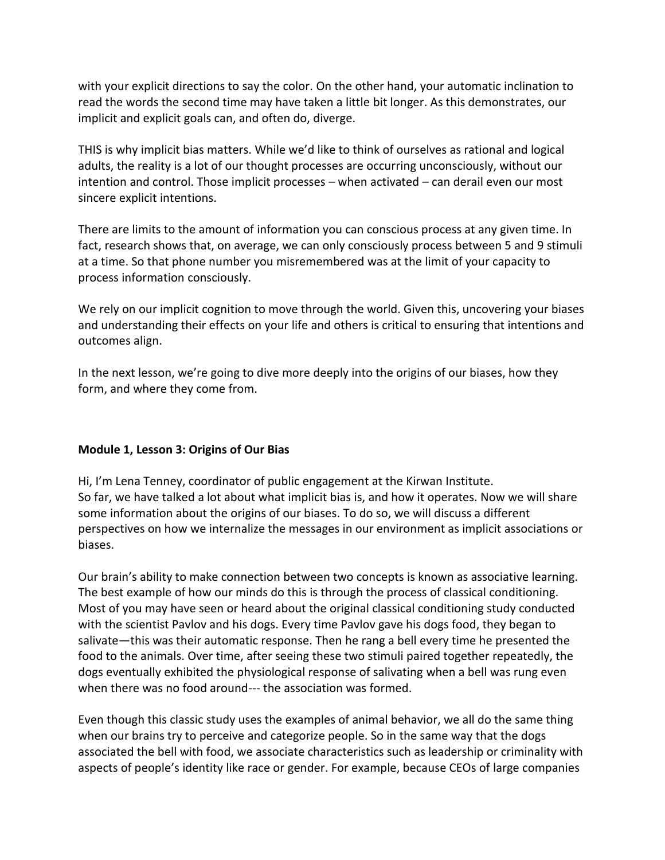with your explicit directions to say the color. On the other hand, your automatic inclination to read the words the second time may have taken a little bit longer. As this demonstrates, our implicit and explicit goals can, and often do, diverge.

THIS is why implicit bias matters. While we'd like to think of ourselves as rational and logical adults, the reality is a lot of our thought processes are occurring unconsciously, without our intention and control. Those implicit processes – when activated – can derail even our most sincere explicit intentions.

There are limits to the amount of information you can conscious process at any given time. In fact, research shows that, on average, we can only consciously process between 5 and 9 stimuli at a time. So that phone number you misremembered was at the limit of your capacity to process information consciously.

We rely on our implicit cognition to move through the world. Given this, uncovering your biases and understanding their effects on your life and others is critical to ensuring that intentions and outcomes align.

In the next lesson, we're going to dive more deeply into the origins of our biases, how they form, and where they come from.

### <span id="page-5-0"></span>**Module 1, Lesson 3: Origins of Our Bias**

Hi, I'm Lena Tenney, coordinator of public engagement at the Kirwan Institute. So far, we have talked a lot about what implicit bias is, and how it operates. Now we will share some information about the origins of our biases. To do so, we will discuss a different perspectives on how we internalize the messages in our environment as implicit associations or biases.

Our brain's ability to make connection between two concepts is known as associative learning. The best example of how our minds do this is through the process of classical conditioning. Most of you may have seen or heard about the original classical conditioning study conducted with the scientist Pavlov and his dogs. Every time Pavlov gave his dogs food, they began to salivate—this was their automatic response. Then he rang a bell every time he presented the food to the animals. Over time, after seeing these two stimuli paired together repeatedly, the dogs eventually exhibited the physiological response of salivating when a bell was rung even when there was no food around--- the association was formed.

Even though this classic study uses the examples of animal behavior, we all do the same thing when our brains try to perceive and categorize people. So in the same way that the dogs associated the bell with food, we associate characteristics such as leadership or criminality with aspects of people's identity like race or gender. For example, because CEOs of large companies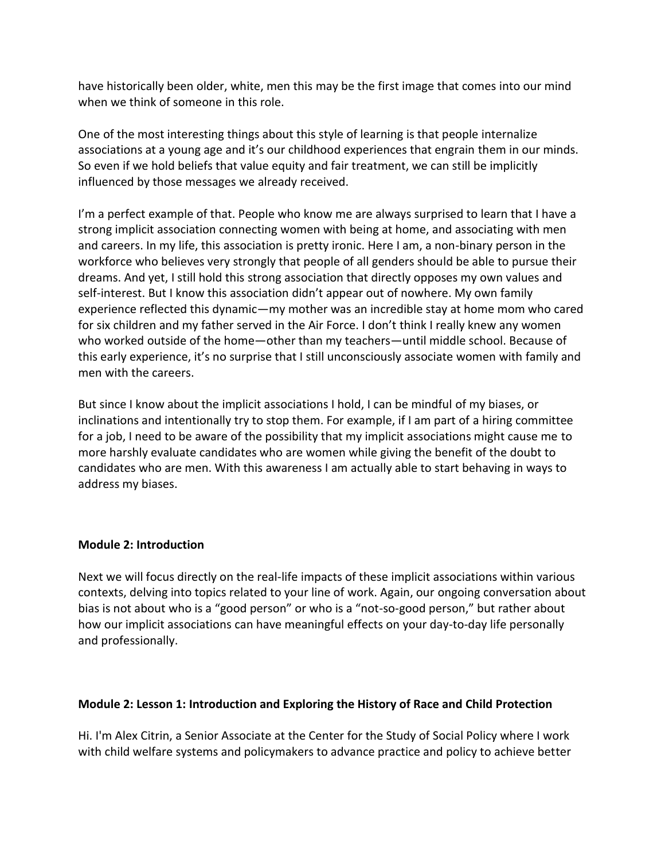have historically been older, white, men this may be the first image that comes into our mind when we think of someone in this role.

One of the most interesting things about this style of learning is that people internalize associations at a young age and it's our childhood experiences that engrain them in our minds. So even if we hold beliefs that value equity and fair treatment, we can still be implicitly influenced by those messages we already received.

I'm a perfect example of that. People who know me are always surprised to learn that I have a strong implicit association connecting women with being at home, and associating with men and careers. In my life, this association is pretty ironic. Here I am, a non-binary person in the workforce who believes very strongly that people of all genders should be able to pursue their dreams. And yet, I still hold this strong association that directly opposes my own values and self-interest. But I know this association didn't appear out of nowhere. My own family experience reflected this dynamic—my mother was an incredible stay at home mom who cared for six children and my father served in the Air Force. I don't think I really knew any women who worked outside of the home—other than my teachers—until middle school. Because of this early experience, it's no surprise that I still unconsciously associate women with family and men with the careers.

But since I know about the implicit associations I hold, I can be mindful of my biases, or inclinations and intentionally try to stop them. For example, if I am part of a hiring committee for a job, I need to be aware of the possibility that my implicit associations might cause me to more harshly evaluate candidates who are women while giving the benefit of the doubt to candidates who are men. With this awareness I am actually able to start behaving in ways to address my biases.

### <span id="page-6-0"></span>**Module 2: Introduction**

Next we will focus directly on the real-life impacts of these implicit associations within various contexts, delving into topics related to your line of work. Again, our ongoing conversation about bias is not about who is a "good person" or who is a "not-so-good person," but rather about how our implicit associations can have meaningful effects on your day-to-day life personally and professionally.

### **Module 2: Lesson 1: Introduction and Exploring the History of Race and Child Protection**

Hi. I'm Alex Citrin, a Senior Associate at the Center for the Study of Social Policy where I work with child welfare systems and policymakers to advance practice and policy to achieve better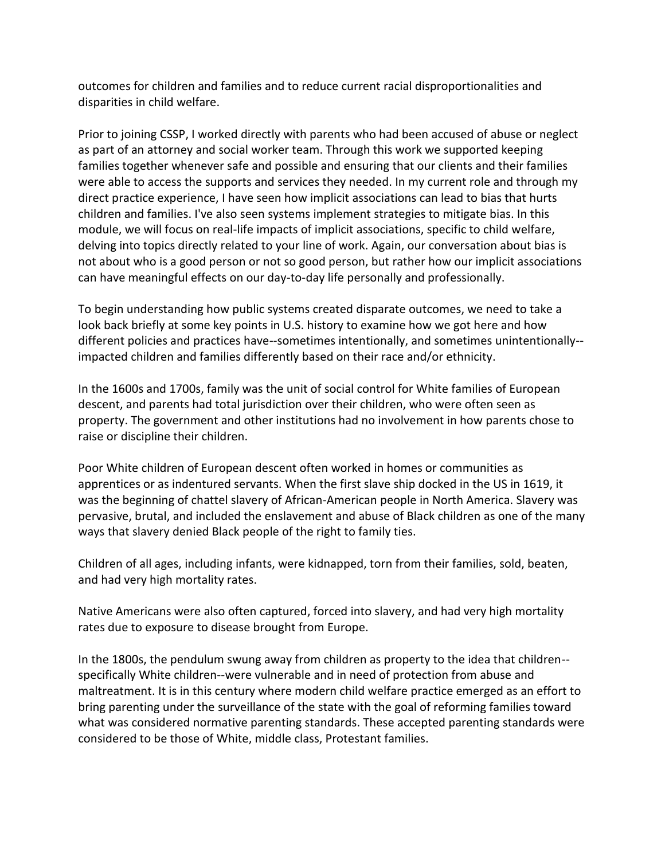outcomes for children and families and to reduce current racial disproportionalities and disparities in child welfare.

Prior to joining CSSP, I worked directly with parents who had been accused of abuse or neglect as part of an attorney and social worker team. Through this work we supported keeping families together whenever safe and possible and ensuring that our clients and their families were able to access the supports and services they needed. In my current role and through my direct practice experience, I have seen how implicit associations can lead to bias that hurts children and families. I've also seen systems implement strategies to mitigate bias. In this module, we will focus on real-life impacts of implicit associations, specific to child welfare, delving into topics directly related to your line of work. Again, our conversation about bias is not about who is a good person or not so good person, but rather how our implicit associations can have meaningful effects on our day-to-day life personally and professionally.

To begin understanding how public systems created disparate outcomes, we need to take a look back briefly at some key points in U.S. history to examine how we got here and how different policies and practices have--sometimes intentionally, and sometimes unintentionally- impacted children and families differently based on their race and/or ethnicity.

In the 1600s and 1700s, family was the unit of social control for White families of European descent, and parents had total jurisdiction over their children, who were often seen as property. The government and other institutions had no involvement in how parents chose to raise or discipline their children.

Poor White children of European descent often worked in homes or communities as apprentices or as indentured servants. When the first slave ship docked in the US in 1619, it was the beginning of chattel slavery of African-American people in North America. Slavery was pervasive, brutal, and included the enslavement and abuse of Black children as one of the many ways that slavery denied Black people of the right to family ties.

Children of all ages, including infants, were kidnapped, torn from their families, sold, beaten, and had very high mortality rates.

Native Americans were also often captured, forced into slavery, and had very high mortality rates due to exposure to disease brought from Europe.

In the 1800s, the pendulum swung away from children as property to the idea that children- specifically White children--were vulnerable and in need of protection from abuse and maltreatment. It is in this century where modern child welfare practice emerged as an effort to bring parenting under the surveillance of the state with the goal of reforming families toward what was considered normative parenting standards. These accepted parenting standards were considered to be those of White, middle class, Protestant families.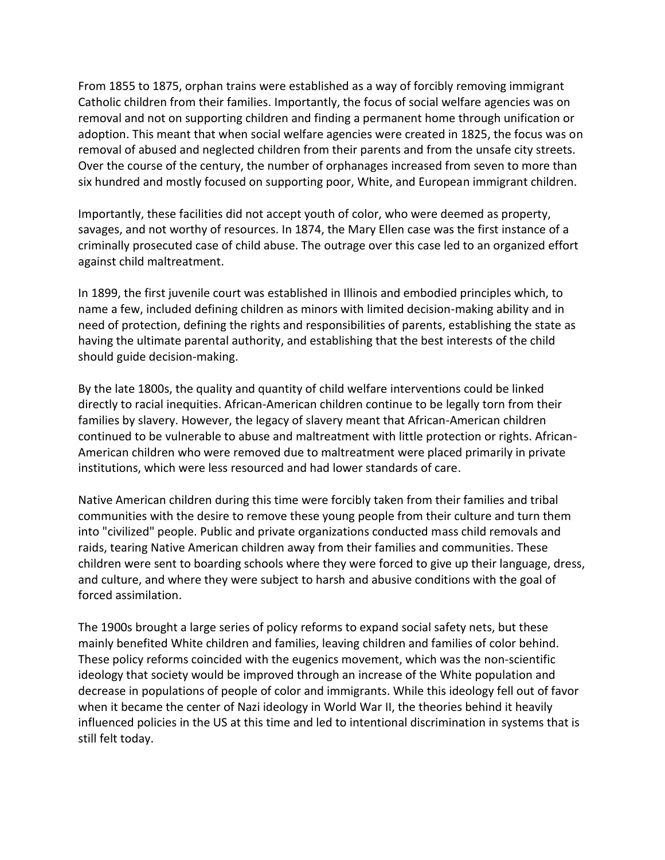From 1855 to 1875, orphan trains were established as a way of forcibly removing immigrant Catholic children from their families. Importantly, the focus of social welfare agencies was on removal and not on supporting children and finding a permanent home through unification or adoption. This meant that when social welfare agencies were created in 1825, the focus was on removal of abused and neglected children from their parents and from the unsafe city streets. Over the course of the century, the number of orphanages increased from seven to more than six hundred and mostly focused on supporting poor, White, and European immigrant children.

Importantly, these facilities did not accept youth of color, who were deemed as property, savages, and not worthy of resources. In 1874, the Mary Ellen case was the first instance of a criminally prosecuted case of child abuse. The outrage over this case led to an organized effort against child maltreatment.

In 1899, the first juvenile court was established in Illinois and embodied principles which, to name a few, included defining children as minors with limited decision-making ability and in need of protection, defining the rights and responsibilities of parents, establishing the state as having the ultimate parental authority, and establishing that the best interests of the child should guide decision-making.

By the late 1800s, the quality and quantity of child welfare interventions could be linked directly to racial inequities. African-American children continue to be legally torn from their families by slavery. However, the legacy of slavery meant that African-American children continued to be vulnerable to abuse and maltreatment with little protection or rights. African-American children who were removed due to maltreatment were placed primarily in private institutions, which were less resourced and had lower standards of care.

Native American children during this time were forcibly taken from their families and tribal communities with the desire to remove these young people from their culture and turn them into "civilized" people. Public and private organizations conducted mass child removals and raids, tearing Native American children away from their families and communities. These children were sent to boarding schools where they were forced to give up their language, dress, and culture, and where they were subject to harsh and abusive conditions with the goal of forced assimilation.

The 1900s brought a large series of policy reforms to expand social safety nets, but these mainly benefited White children and families, leaving children and families of color behind. These policy reforms coincided with the eugenics movement, which was the non-scientific ideology that society would be improved through an increase of the White population and decrease in populations of people of color and immigrants. While this ideology fell out of favor when it became the center of Nazi ideology in World War II, the theories behind it heavily influenced policies in the US at this time and led to intentional discrimination in systems that is still felt today.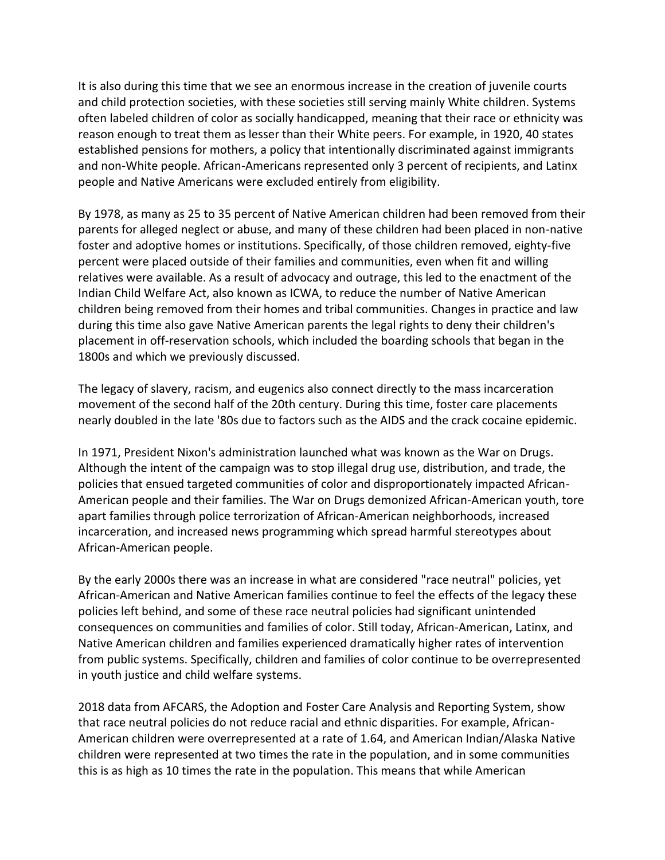It is also during this time that we see an enormous increase in the creation of juvenile courts and child protection societies, with these societies still serving mainly White children. Systems often labeled children of color as socially handicapped, meaning that their race or ethnicity was reason enough to treat them as lesser than their White peers. For example, in 1920, 40 states established pensions for mothers, a policy that intentionally discriminated against immigrants and non-White people. African-Americans represented only 3 percent of recipients, and Latinx people and Native Americans were excluded entirely from eligibility.

By 1978, as many as 25 to 35 percent of Native American children had been removed from their parents for alleged neglect or abuse, and many of these children had been placed in non-native foster and adoptive homes or institutions. Specifically, of those children removed, eighty-five percent were placed outside of their families and communities, even when fit and willing relatives were available. As a result of advocacy and outrage, this led to the enactment of the Indian Child Welfare Act, also known as ICWA, to reduce the number of Native American children being removed from their homes and tribal communities. Changes in practice and law during this time also gave Native American parents the legal rights to deny their children's placement in off-reservation schools, which included the boarding schools that began in the 1800s and which we previously discussed.

The legacy of slavery, racism, and eugenics also connect directly to the mass incarceration movement of the second half of the 20th century. During this time, foster care placements nearly doubled in the late '80s due to factors such as the AIDS and the crack cocaine epidemic.

In 1971, President Nixon's administration launched what was known as the War on Drugs. Although the intent of the campaign was to stop illegal drug use, distribution, and trade, the policies that ensued targeted communities of color and disproportionately impacted African-American people and their families. The War on Drugs demonized African-American youth, tore apart families through police terrorization of African-American neighborhoods, increased incarceration, and increased news programming which spread harmful stereotypes about African-American people.

By the early 2000s there was an increase in what are considered "race neutral" policies, yet African-American and Native American families continue to feel the effects of the legacy these policies left behind, and some of these race neutral policies had significant unintended consequences on communities and families of color. Still today, African-American, Latinx, and Native American children and families experienced dramatically higher rates of intervention from public systems. Specifically, children and families of color continue to be overrepresented in youth justice and child welfare systems.

2018 data from AFCARS, the Adoption and Foster Care Analysis and Reporting System, show that race neutral policies do not reduce racial and ethnic disparities. For example, African-American children were overrepresented at a rate of 1.64, and American Indian/Alaska Native children were represented at two times the rate in the population, and in some communities this is as high as 10 times the rate in the population. This means that while American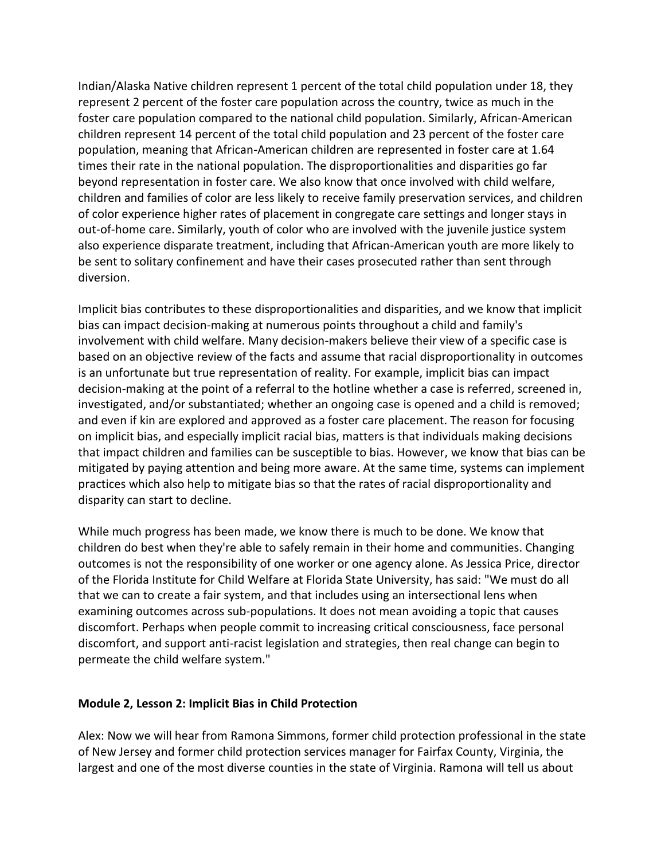Indian/Alaska Native children represent 1 percent of the total child population under 18, they represent 2 percent of the foster care population across the country, twice as much in the foster care population compared to the national child population. Similarly, African-American children represent 14 percent of the total child population and 23 percent of the foster care population, meaning that African-American children are represented in foster care at 1.64 times their rate in the national population. The disproportionalities and disparities go far beyond representation in foster care. We also know that once involved with child welfare, children and families of color are less likely to receive family preservation services, and children of color experience higher rates of placement in congregate care settings and longer stays in out-of-home care. Similarly, youth of color who are involved with the juvenile justice system also experience disparate treatment, including that African-American youth are more likely to be sent to solitary confinement and have their cases prosecuted rather than sent through diversion.

Implicit bias contributes to these disproportionalities and disparities, and we know that implicit bias can impact decision-making at numerous points throughout a child and family's involvement with child welfare. Many decision-makers believe their view of a specific case is based on an objective review of the facts and assume that racial disproportionality in outcomes is an unfortunate but true representation of reality. For example, implicit bias can impact decision-making at the point of a referral to the hotline whether a case is referred, screened in, investigated, and/or substantiated; whether an ongoing case is opened and a child is removed; and even if kin are explored and approved as a foster care placement. The reason for focusing on implicit bias, and especially implicit racial bias, matters is that individuals making decisions that impact children and families can be susceptible to bias. However, we know that bias can be mitigated by paying attention and being more aware. At the same time, systems can implement practices which also help to mitigate bias so that the rates of racial disproportionality and disparity can start to decline.

While much progress has been made, we know there is much to be done. We know that children do best when they're able to safely remain in their home and communities. Changing outcomes is not the responsibility of one worker or one agency alone. As Jessica Price, director of the Florida Institute for Child Welfare at Florida State University, has said: "We must do all that we can to create a fair system, and that includes using an intersectional lens when examining outcomes across sub-populations. It does not mean avoiding a topic that causes discomfort. Perhaps when people commit to increasing critical consciousness, face personal discomfort, and support anti-racist legislation and strategies, then real change can begin to permeate the child welfare system."

#### <span id="page-10-0"></span>**Module 2, Lesson 2: Implicit Bias in Child Protection**

Alex: Now we will hear from Ramona Simmons, former child protection professional in the state of New Jersey and former child protection services manager for Fairfax County, Virginia, the largest and one of the most diverse counties in the state of Virginia. Ramona will tell us about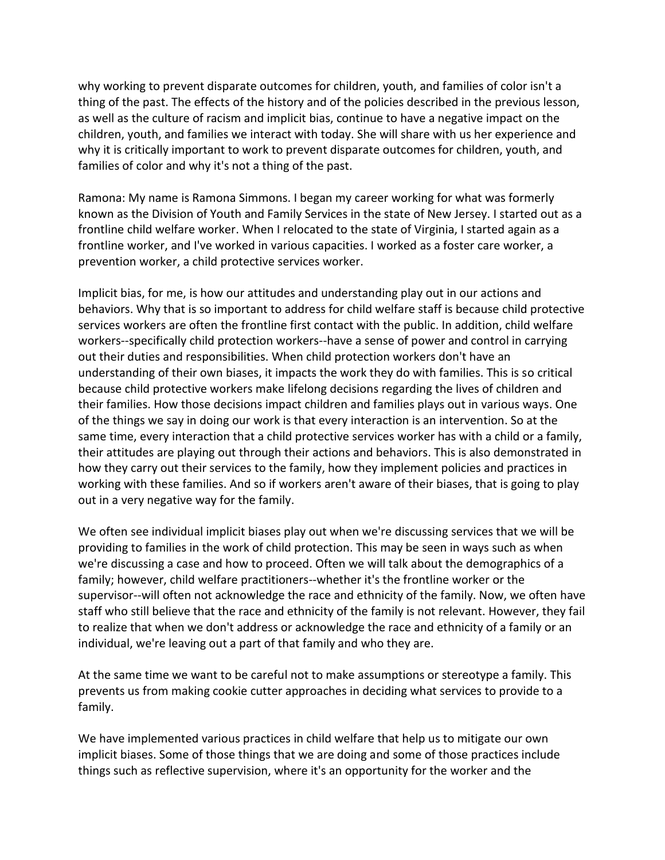why working to prevent disparate outcomes for children, youth, and families of color isn't a thing of the past. The effects of the history and of the policies described in the previous lesson, as well as the culture of racism and implicit bias, continue to have a negative impact on the children, youth, and families we interact with today. She will share with us her experience and why it is critically important to work to prevent disparate outcomes for children, youth, and families of color and why it's not a thing of the past.

Ramona: My name is Ramona Simmons. I began my career working for what was formerly known as the Division of Youth and Family Services in the state of New Jersey. I started out as a frontline child welfare worker. When I relocated to the state of Virginia, I started again as a frontline worker, and I've worked in various capacities. I worked as a foster care worker, a prevention worker, a child protective services worker.

Implicit bias, for me, is how our attitudes and understanding play out in our actions and behaviors. Why that is so important to address for child welfare staff is because child protective services workers are often the frontline first contact with the public. In addition, child welfare workers--specifically child protection workers--have a sense of power and control in carrying out their duties and responsibilities. When child protection workers don't have an understanding of their own biases, it impacts the work they do with families. This is so critical because child protective workers make lifelong decisions regarding the lives of children and their families. How those decisions impact children and families plays out in various ways. One of the things we say in doing our work is that every interaction is an intervention. So at the same time, every interaction that a child protective services worker has with a child or a family, their attitudes are playing out through their actions and behaviors. This is also demonstrated in how they carry out their services to the family, how they implement policies and practices in working with these families. And so if workers aren't aware of their biases, that is going to play out in a very negative way for the family.

We often see individual implicit biases play out when we're discussing services that we will be providing to families in the work of child protection. This may be seen in ways such as when we're discussing a case and how to proceed. Often we will talk about the demographics of a family; however, child welfare practitioners--whether it's the frontline worker or the supervisor--will often not acknowledge the race and ethnicity of the family. Now, we often have staff who still believe that the race and ethnicity of the family is not relevant. However, they fail to realize that when we don't address or acknowledge the race and ethnicity of a family or an individual, we're leaving out a part of that family and who they are.

At the same time we want to be careful not to make assumptions or stereotype a family. This prevents us from making cookie cutter approaches in deciding what services to provide to a family.

We have implemented various practices in child welfare that help us to mitigate our own implicit biases. Some of those things that we are doing and some of those practices include things such as reflective supervision, where it's an opportunity for the worker and the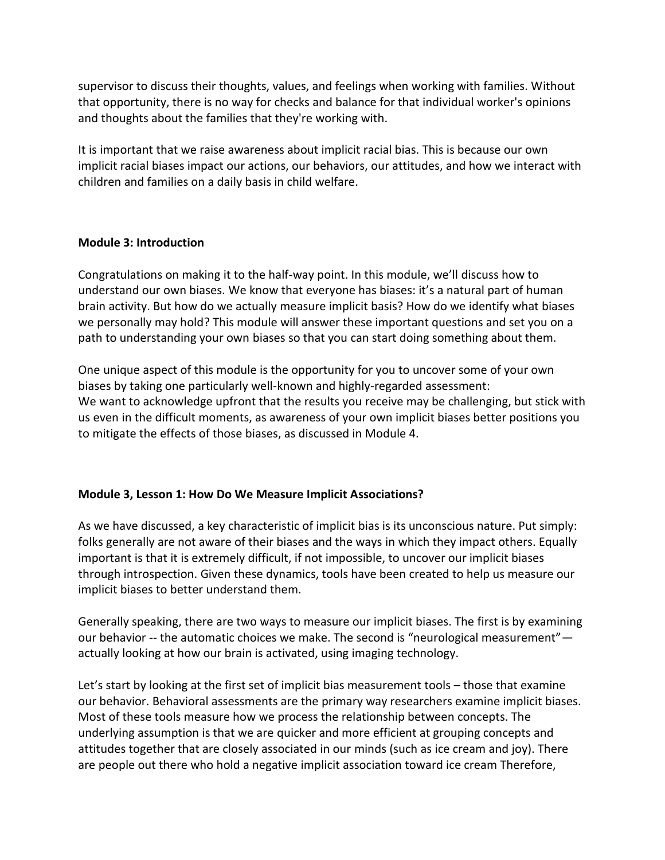supervisor to discuss their thoughts, values, and feelings when working with families. Without that opportunity, there is no way for checks and balance for that individual worker's opinions and thoughts about the families that they're working with.

It is important that we raise awareness about implicit racial bias. This is because our own implicit racial biases impact our actions, our behaviors, our attitudes, and how we interact with children and families on a daily basis in child welfare.

### <span id="page-12-0"></span>**Module 3: Introduction**

Congratulations on making it to the half-way point. In this module, we'll discuss how to understand our own biases. We know that everyone has biases: it's a natural part of human brain activity. But how do we actually measure implicit basis? How do we identify what biases we personally may hold? This module will answer these important questions and set you on a path to understanding your own biases so that you can start doing something about them.

One unique aspect of this module is the opportunity for you to uncover some of your own biases by taking one particularly well-known and highly-regarded assessment: We want to acknowledge upfront that the results you receive may be challenging, but stick with us even in the difficult moments, as awareness of your own implicit biases better positions you to mitigate the effects of those biases, as discussed in Module 4.

## <span id="page-12-1"></span>**Module 3, Lesson 1: How Do We Measure Implicit Associations?**

As we have discussed, a key characteristic of implicit bias is its unconscious nature. Put simply: folks generally are not aware of their biases and the ways in which they impact others. Equally important is that it is extremely difficult, if not impossible, to uncover our implicit biases through introspection. Given these dynamics, tools have been created to help us measure our implicit biases to better understand them.

Generally speaking, there are two ways to measure our implicit biases. The first is by examining our behavior -- the automatic choices we make. The second is "neurological measurement" actually looking at how our brain is activated, using imaging technology.

Let's start by looking at the first set of implicit bias measurement tools – those that examine our behavior. Behavioral assessments are the primary way researchers examine implicit biases. Most of these tools measure how we process the relationship between concepts. The underlying assumption is that we are quicker and more efficient at grouping concepts and attitudes together that are closely associated in our minds (such as ice cream and joy). There are people out there who hold a negative implicit association toward ice cream Therefore,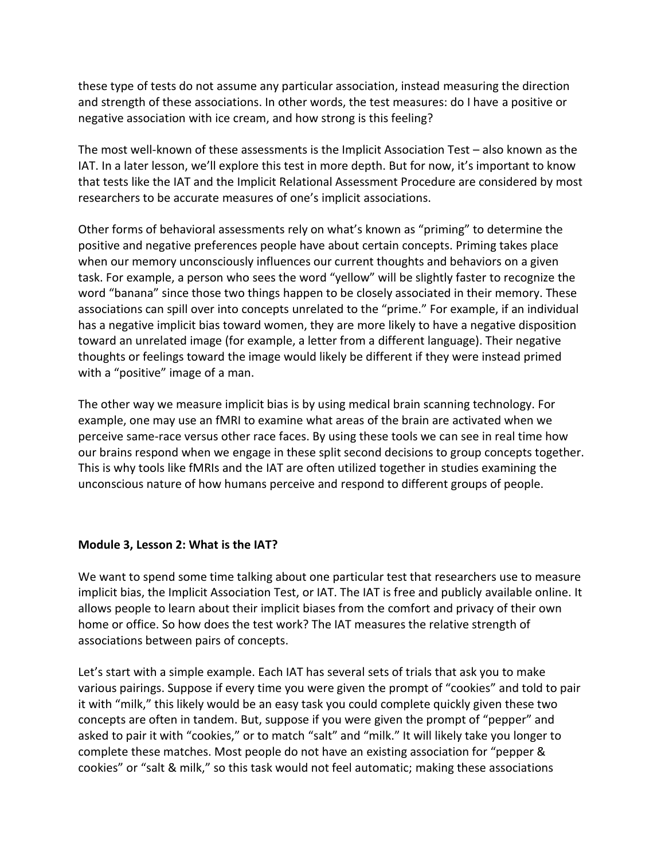these type of tests do not assume any particular association, instead measuring the direction and strength of these associations. In other words, the test measures: do I have a positive or negative association with ice cream, and how strong is this feeling?

The most well-known of these assessments is the Implicit Association Test – also known as the IAT. In a later lesson, we'll explore this test in more depth. But for now, it's important to know that tests like the IAT and the Implicit Relational Assessment Procedure are considered by most researchers to be accurate measures of one's implicit associations.

Other forms of behavioral assessments rely on what's known as "priming" to determine the positive and negative preferences people have about certain concepts. Priming takes place when our memory unconsciously influences our current thoughts and behaviors on a given task. For example, a person who sees the word "yellow" will be slightly faster to recognize the word "banana" since those two things happen to be closely associated in their memory. These associations can spill over into concepts unrelated to the "prime." For example, if an individual has a negative implicit bias toward women, they are more likely to have a negative disposition toward an unrelated image (for example, a letter from a different language). Their negative thoughts or feelings toward the image would likely be different if they were instead primed with a "positive" image of a man.

The other way we measure implicit bias is by using medical brain scanning technology. For example, one may use an fMRI to examine what areas of the brain are activated when we perceive same-race versus other race faces. By using these tools we can see in real time how our brains respond when we engage in these split second decisions to group concepts together. This is why tools like fMRIs and the IAT are often utilized together in studies examining the unconscious nature of how humans perceive and respond to different groups of people.

### <span id="page-13-0"></span>**Module 3, Lesson 2: What is the IAT?**

We want to spend some time talking about one particular test that researchers use to measure implicit bias, the Implicit Association Test, or IAT. The IAT is free and publicly available online. It allows people to learn about their implicit biases from the comfort and privacy of their own home or office. So how does the test work? The IAT measures the relative strength of associations between pairs of concepts.

Let's start with a simple example. Each IAT has several sets of trials that ask you to make various pairings. Suppose if every time you were given the prompt of "cookies" and told to pair it with "milk," this likely would be an easy task you could complete quickly given these two concepts are often in tandem. But, suppose if you were given the prompt of "pepper" and asked to pair it with "cookies," or to match "salt" and "milk." It will likely take you longer to complete these matches. Most people do not have an existing association for "pepper & cookies" or "salt & milk," so this task would not feel automatic; making these associations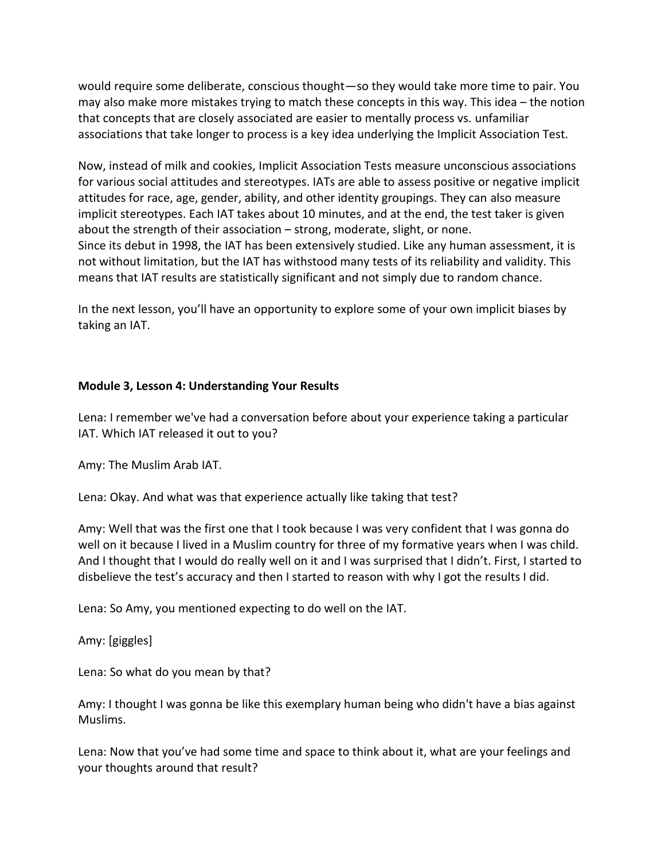would require some deliberate, conscious thought—so they would take more time to pair. You may also make more mistakes trying to match these concepts in this way. This idea – the notion that concepts that are closely associated are easier to mentally process vs. unfamiliar associations that take longer to process is a key idea underlying the Implicit Association Test.

Now, instead of milk and cookies, Implicit Association Tests measure unconscious associations for various social attitudes and stereotypes. IATs are able to assess positive or negative implicit attitudes for race, age, gender, ability, and other identity groupings. They can also measure implicit stereotypes. Each IAT takes about 10 minutes, and at the end, the test taker is given about the strength of their association – strong, moderate, slight, or none. Since its debut in 1998, the IAT has been extensively studied. Like any human assessment, it is not without limitation, but the IAT has withstood many tests of its reliability and validity. This means that IAT results are statistically significant and not simply due to random chance.

In the next lesson, you'll have an opportunity to explore some of your own implicit biases by taking an IAT.

### <span id="page-14-0"></span>**Module 3, Lesson 4: Understanding Your Results**

Lena: I remember we've had a conversation before about your experience taking a particular IAT. Which IAT released it out to you?

Amy: The Muslim Arab IAT.

Lena: Okay. And what was that experience actually like taking that test?

Amy: Well that was the first one that I took because I was very confident that I was gonna do well on it because I lived in a Muslim country for three of my formative years when I was child. And I thought that I would do really well on it and I was surprised that I didn't. First, I started to disbelieve the test's accuracy and then I started to reason with why I got the results I did.

Lena: So Amy, you mentioned expecting to do well on the IAT.

Amy: [giggles]

Lena: So what do you mean by that?

Amy: I thought I was gonna be like this exemplary human being who didn't have a bias against Muslims.

Lena: Now that you've had some time and space to think about it, what are your feelings and your thoughts around that result?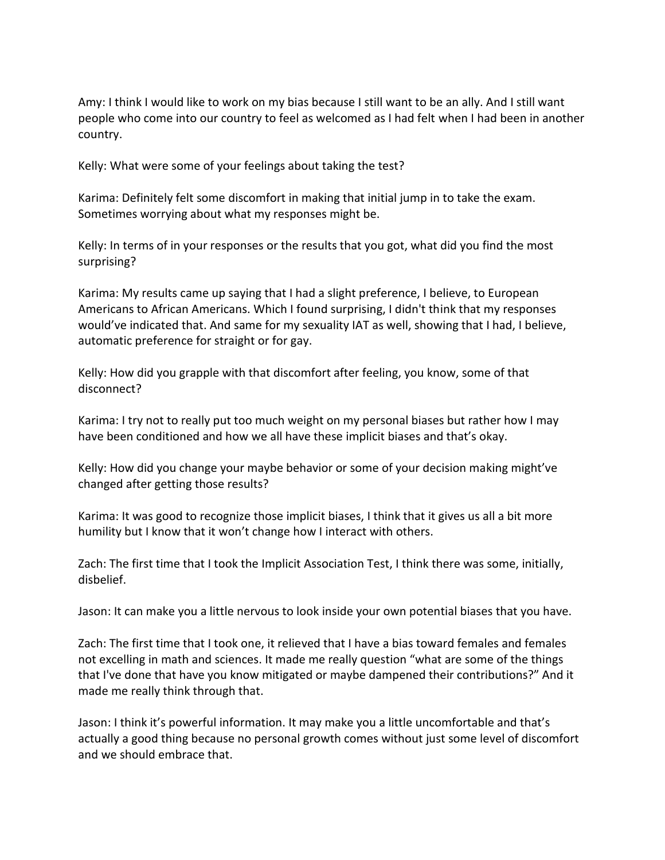Amy: I think I would like to work on my bias because I still want to be an ally. And I still want people who come into our country to feel as welcomed as I had felt when I had been in another country.

Kelly: What were some of your feelings about taking the test?

Karima: Definitely felt some discomfort in making that initial jump in to take the exam. Sometimes worrying about what my responses might be.

Kelly: In terms of in your responses or the results that you got, what did you find the most surprising?

Karima: My results came up saying that I had a slight preference, I believe, to European Americans to African Americans. Which I found surprising, I didn't think that my responses would've indicated that. And same for my sexuality IAT as well, showing that I had, I believe, automatic preference for straight or for gay.

Kelly: How did you grapple with that discomfort after feeling, you know, some of that disconnect?

Karima: I try not to really put too much weight on my personal biases but rather how I may have been conditioned and how we all have these implicit biases and that's okay.

Kelly: How did you change your maybe behavior or some of your decision making might've changed after getting those results?

Karima: It was good to recognize those implicit biases, I think that it gives us all a bit more humility but I know that it won't change how I interact with others.

Zach: The first time that I took the Implicit Association Test, I think there was some, initially, disbelief.

Jason: It can make you a little nervous to look inside your own potential biases that you have.

Zach: The first time that I took one, it relieved that I have a bias toward females and females not excelling in math and sciences. It made me really question "what are some of the things that I've done that have you know mitigated or maybe dampened their contributions?" And it made me really think through that.

Jason: I think it's powerful information. It may make you a little uncomfortable and that's actually a good thing because no personal growth comes without just some level of discomfort and we should embrace that.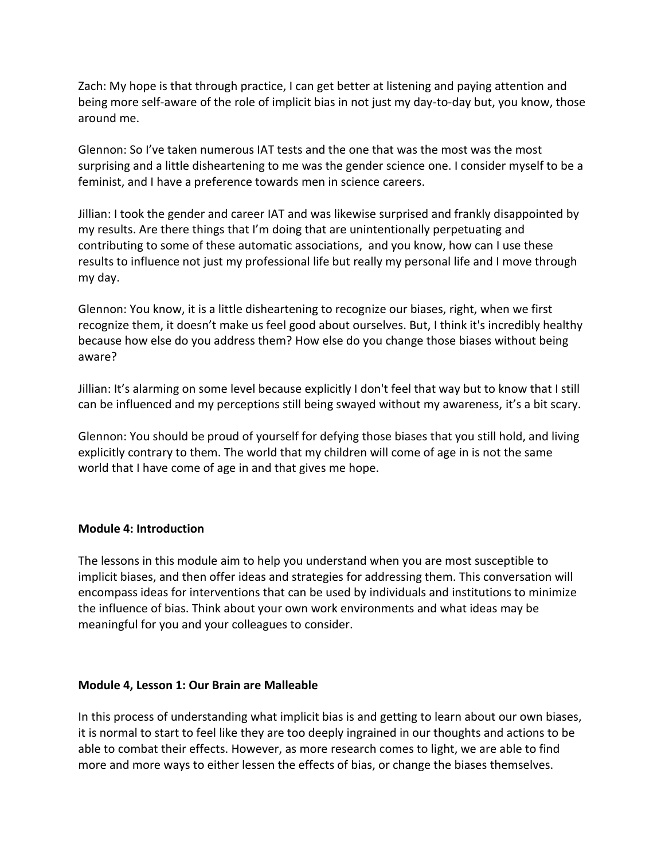Zach: My hope is that through practice, I can get better at listening and paying attention and being more self-aware of the role of implicit bias in not just my day-to-day but, you know, those around me.

Glennon: So I've taken numerous IAT tests and the one that was the most was the most surprising and a little disheartening to me was the gender science one. I consider myself to be a feminist, and I have a preference towards men in science careers.

Jillian: I took the gender and career IAT and was likewise surprised and frankly disappointed by my results. Are there things that I'm doing that are unintentionally perpetuating and contributing to some of these automatic associations, and you know, how can I use these results to influence not just my professional life but really my personal life and I move through my day.

Glennon: You know, it is a little disheartening to recognize our biases, right, when we first recognize them, it doesn't make us feel good about ourselves. But, I think it's incredibly healthy because how else do you address them? How else do you change those biases without being aware?

Jillian: It's alarming on some level because explicitly I don't feel that way but to know that I still can be influenced and my perceptions still being swayed without my awareness, it's a bit scary.

Glennon: You should be proud of yourself for defying those biases that you still hold, and living explicitly contrary to them. The world that my children will come of age in is not the same world that I have come of age in and that gives me hope.

### <span id="page-16-0"></span>**Module 4: Introduction**

The lessons in this module aim to help you understand when you are most susceptible to implicit biases, and then offer ideas and strategies for addressing them. This conversation will encompass ideas for interventions that can be used by individuals and institutions to minimize the influence of bias. Think about your own work environments and what ideas may be meaningful for you and your colleagues to consider.

### <span id="page-16-1"></span>**Module 4, Lesson 1: Our Brain are Malleable**

In this process of understanding what implicit bias is and getting to learn about our own biases, it is normal to start to feel like they are too deeply ingrained in our thoughts and actions to be able to combat their effects. However, as more research comes to light, we are able to find more and more ways to either lessen the effects of bias, or change the biases themselves.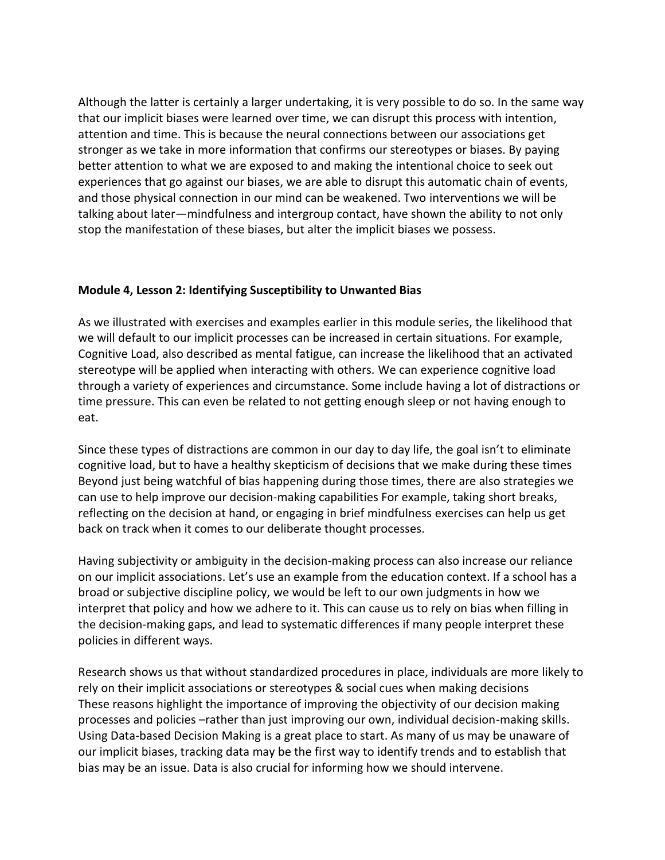Although the latter is certainly a larger undertaking, it is very possible to do so. In the same way that our implicit biases were learned over time, we can disrupt this process with intention, attention and time. This is because the neural connections between our associations get stronger as we take in more information that confirms our stereotypes or biases. By paying better attention to what we are exposed to and making the intentional choice to seek out experiences that go against our biases, we are able to disrupt this automatic chain of events, and those physical connection in our mind can be weakened. Two interventions we will be talking about later—mindfulness and intergroup contact, have shown the ability to not only stop the manifestation of these biases, but alter the implicit biases we possess.

### <span id="page-17-0"></span>**Module 4, Lesson 2: Identifying Susceptibility to Unwanted Bias**

As we illustrated with exercises and examples earlier in this module series, the likelihood that we will default to our implicit processes can be increased in certain situations. For example, Cognitive Load, also described as mental fatigue, can increase the likelihood that an activated stereotype will be applied when interacting with others. We can experience cognitive load through a variety of experiences and circumstance. Some include having a lot of distractions or time pressure. This can even be related to not getting enough sleep or not having enough to eat.

Since these types of distractions are common in our day to day life, the goal isn't to eliminate cognitive load, but to have a healthy skepticism of decisions that we make during these times Beyond just being watchful of bias happening during those times, there are also strategies we can use to help improve our decision-making capabilities For example, taking short breaks, reflecting on the decision at hand, or engaging in brief mindfulness exercises can help us get back on track when it comes to our deliberate thought processes.

Having subjectivity or ambiguity in the decision-making process can also increase our reliance on our implicit associations. Let's use an example from the education context. If a school has a broad or subjective discipline policy, we would be left to our own judgments in how we interpret that policy and how we adhere to it. This can cause us to rely on bias when filling in the decision-making gaps, and lead to systematic differences if many people interpret these policies in different ways.

Research shows us that without standardized procedures in place, individuals are more likely to rely on their implicit associations or stereotypes & social cues when making decisions These reasons highlight the importance of improving the objectivity of our decision making processes and policies –rather than just improving our own, individual decision-making skills. Using Data-based Decision Making is a great place to start. As many of us may be unaware of our implicit biases, tracking data may be the first way to identify trends and to establish that bias may be an issue. Data is also crucial for informing how we should intervene.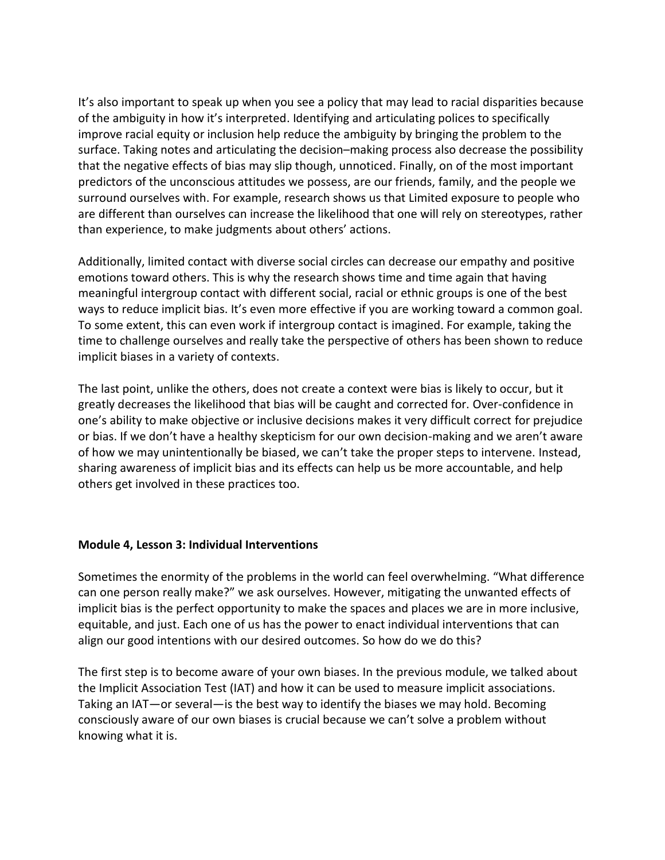It's also important to speak up when you see a policy that may lead to racial disparities because of the ambiguity in how it's interpreted. Identifying and articulating polices to specifically improve racial equity or inclusion help reduce the ambiguity by bringing the problem to the surface. Taking notes and articulating the decision–making process also decrease the possibility that the negative effects of bias may slip though, unnoticed. Finally, on of the most important predictors of the unconscious attitudes we possess, are our friends, family, and the people we surround ourselves with. For example, research shows us that Limited exposure to people who are different than ourselves can increase the likelihood that one will rely on stereotypes, rather than experience, to make judgments about others' actions.

Additionally, limited contact with diverse social circles can decrease our empathy and positive emotions toward others. This is why the research shows time and time again that having meaningful intergroup contact with different social, racial or ethnic groups is one of the best ways to reduce implicit bias. It's even more effective if you are working toward a common goal. To some extent, this can even work if intergroup contact is imagined. For example, taking the time to challenge ourselves and really take the perspective of others has been shown to reduce implicit biases in a variety of contexts.

The last point, unlike the others, does not create a context were bias is likely to occur, but it greatly decreases the likelihood that bias will be caught and corrected for. Over-confidence in one's ability to make objective or inclusive decisions makes it very difficult correct for prejudice or bias. If we don't have a healthy skepticism for our own decision-making and we aren't aware of how we may unintentionally be biased, we can't take the proper steps to intervene. Instead, sharing awareness of implicit bias and its effects can help us be more accountable, and help others get involved in these practices too.

### <span id="page-18-0"></span>**Module 4, Lesson 3: Individual Interventions**

Sometimes the enormity of the problems in the world can feel overwhelming. "What difference can one person really make?" we ask ourselves. However, mitigating the unwanted effects of implicit bias is the perfect opportunity to make the spaces and places we are in more inclusive, equitable, and just. Each one of us has the power to enact individual interventions that can align our good intentions with our desired outcomes. So how do we do this?

The first step is to become aware of your own biases. In the previous module, we talked about the Implicit Association Test (IAT) and how it can be used to measure implicit associations. Taking an IAT—or several—is the best way to identify the biases we may hold. Becoming consciously aware of our own biases is crucial because we can't solve a problem without knowing what it is.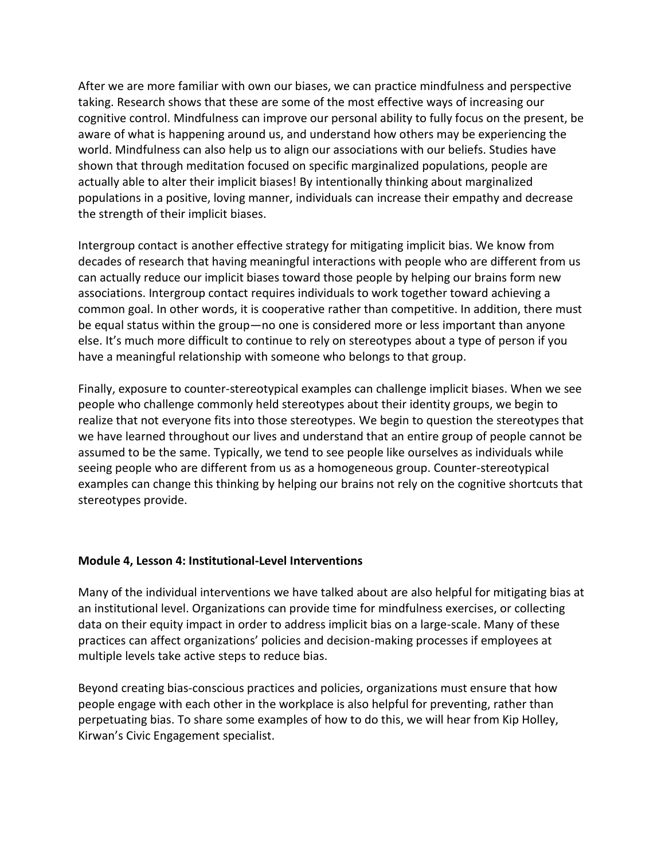After we are more familiar with own our biases, we can practice mindfulness and perspective taking. Research shows that these are some of the most effective ways of increasing our cognitive control. Mindfulness can improve our personal ability to fully focus on the present, be aware of what is happening around us, and understand how others may be experiencing the world. Mindfulness can also help us to align our associations with our beliefs. Studies have shown that through meditation focused on specific marginalized populations, people are actually able to alter their implicit biases! By intentionally thinking about marginalized populations in a positive, loving manner, individuals can increase their empathy and decrease the strength of their implicit biases.

Intergroup contact is another effective strategy for mitigating implicit bias. We know from decades of research that having meaningful interactions with people who are different from us can actually reduce our implicit biases toward those people by helping our brains form new associations. Intergroup contact requires individuals to work together toward achieving a common goal. In other words, it is cooperative rather than competitive. In addition, there must be equal status within the group—no one is considered more or less important than anyone else. It's much more difficult to continue to rely on stereotypes about a type of person if you have a meaningful relationship with someone who belongs to that group.

Finally, exposure to counter-stereotypical examples can challenge implicit biases. When we see people who challenge commonly held stereotypes about their identity groups, we begin to realize that not everyone fits into those stereotypes. We begin to question the stereotypes that we have learned throughout our lives and understand that an entire group of people cannot be assumed to be the same. Typically, we tend to see people like ourselves as individuals while seeing people who are different from us as a homogeneous group. Counter-stereotypical examples can change this thinking by helping our brains not rely on the cognitive shortcuts that stereotypes provide.

### <span id="page-19-0"></span>**Module 4, Lesson 4: Institutional-Level Interventions**

Many of the individual interventions we have talked about are also helpful for mitigating bias at an institutional level. Organizations can provide time for mindfulness exercises, or collecting data on their equity impact in order to address implicit bias on a large-scale. Many of these practices can affect organizations' policies and decision-making processes if employees at multiple levels take active steps to reduce bias.

Beyond creating bias-conscious practices and policies, organizations must ensure that how people engage with each other in the workplace is also helpful for preventing, rather than perpetuating bias. To share some examples of how to do this, we will hear from Kip Holley, Kirwan's Civic Engagement specialist.